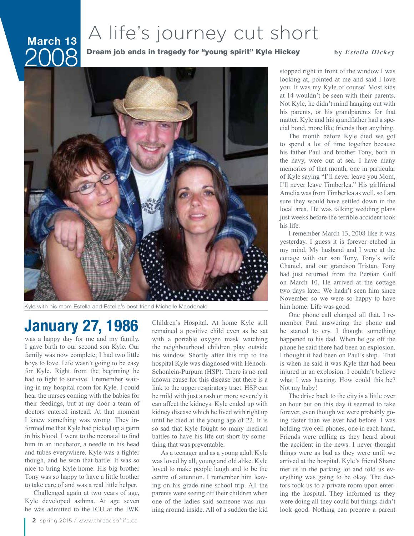## March 13 2008

## A life's journey cut short

Dream job ends in tragedy for "young spirit" Kyle Hickey **by Estella Hickey** 



Kyle with his mom Estella and Estella's best friend Michelle Macdonald

## **January 27, 1986**

was a happy day for me and my family. I gave birth to our second son Kyle. Our family was now complete; I had two little boys to love. Life wasn't going to be easy for Kyle. Right from the beginning he had to fight to survive. I remember waiting in my hospital room for Kyle. I could hear the nurses coming with the babies for their feedings, but at my door a team of doctors entered instead. At that moment I knew something was wrong. They informed me that Kyle had picked up a germ in his blood. I went to the neonatal to find him in an incubator, a needle in his head and tubes everywhere. Kyle was a fighter though, and he won that battle. It was so nice to bring Kyle home. His big brother Tony was so happy to have a little brother to take care of and was a real little helper.

Challenged again at two years of age, Kyle developed asthma. At age seven he was admitted to the ICU at the IWK

Children's Hospital. At home Kyle still remained a positive child even as he sat with a portable oxygen mask watching the neighbourhood children play outside his window. Shortly after this trip to the hospital Kyle was diagnosed with Henoch-Schonlein-Purpura (HSP). There is no real known cause for this disease but there is a link to the upper respiratory tract. HSP can be mild with just a rash or more severely it can affect the kidneys. Kyle ended up with kidney disease which he lived with right up until he died at the young age of 22. It is so sad that Kyle fought so many medical battles to have his life cut short by something that was preventable.

As a teenager and as a young adult Kyle was loved by all, young and old alike. Kyle loved to make people laugh and to be the centre of attention. I remember him leaving on his grade nine school trip. All the parents were seeing off their children when one of the ladies said someone was running around inside. All of a sudden the kid

stopped right in front of the window I was looking at, pointed at me and said I love you. It was my Kyle of course! Most kids at 14 wouldn't be seen with their parents. Not Kyle, he didn't mind hanging out with his parents, or his grandparents for that matter. Kyle and his grandfather had a special bond, more like friends than anything.

The month before Kyle died we got to spend a lot of time together because his father Paul and brother Tony, both in the navy, were out at sea. I have many memories of that month, one in particular of Kyle saying "I'll never leave you Mom, I'll never leave Timberlea." His girlfriend Amelia was from Timberlea as well, so I am sure they would have settled down in the local area. He was talking wedding plans just weeks before the terrible accident took his life.

I remember March 13, 2008 like it was yesterday. I guess it is forever etched in my mind. My husband and I were at the cottage with our son Tony, Tony's wife Chantel, and our grandson Tristan. Tony had just returned from the Persian Gulf on March 10. He arrived at the cottage two days later. We hadn't seen him since November so we were so happy to have him home. Life was good.

One phone call changed all that. I remember Paul answering the phone and he started to cry. I thought something happened to his dad. When he got off the phone he said there had been an explosion. I thought it had been on Paul's ship. That is when he said it was Kyle that had been injured in an explosion. I couldn't believe what I was hearing. How could this be? Not my baby!

The drive back to the city is a little over an hour but on this day it seemed to take forever, even though we were probably going faster than we ever had before. I was holding two cell phones, one in each hand. Friends were calling as they heard about the accident in the news. I never thought things were as bad as they were until we arrived at the hospital. Kyle's friend Shane met us in the parking lot and told us everything was going to be okay. The doctors took us to a private room upon entering the hospital. They informed us they were doing all they could but things didn't look good. Nothing can prepare a parent